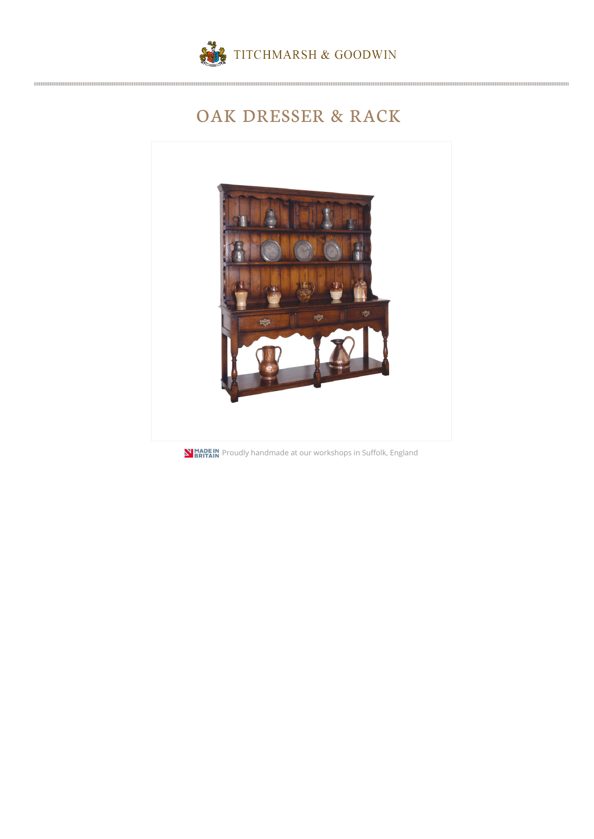

## OAK DRESSER & RACK